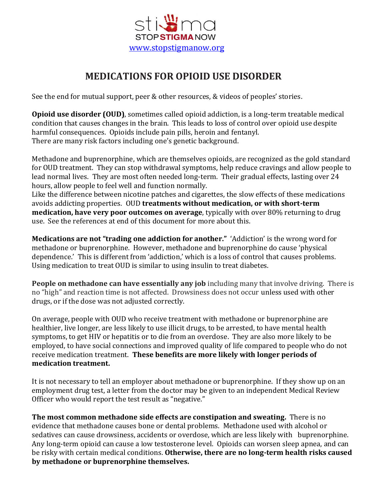

# **MEDICATIONS FOR OPIOID USE DISORDER**

See the end for mutual support, peer & other resources, & videos of peoples' stories.

**Opioid use disorder (OUD)**, sometimes called opioid addiction, is a long-term treatable medical condition that causes changes in the brain. This leads to loss of control over opioid use despite harmful consequences. Opioids include pain pills, heroin and fentanyl. There are many risk factors including one's genetic background.

Methadone and buprenorphine, which are themselves opioids, are recognized as the gold standard for OUD treatment. They can stop withdrawal symptoms, help reduce cravings and allow people to lead normal lives. They are most often needed long-term. Their gradual effects, lasting over 24 hours, allow people to feel well and function normally.

Like the difference between nicotine patches and cigarettes, the slow effects of these medications avoids addicting properties. OUD **treatments without medication, or with short-term medication, have very poor outcomes on average**, typically with over 80% returning to drug use. See the references at end of this document for more about this.

**Medications are not "trading one addiction for another."** 'Addiction' is the wrong word for methadone or buprenorphine. However, methadone and buprenorphine do cause 'physical dependence.' This is different from 'addiction,' which is a loss of control that causes problems. Using medication to treat OUD is similar to using insulin to treat diabetes.

**People on methadone can have essentially any job** including many that involve driving. There is no "high" and reaction time is not affected. Drowsiness does not occur unless used with other drugs, or if the dose was not adjusted correctly.

On average, people with OUD who receive treatment with methadone or buprenorphine are healthier, live longer, are less likely to use illicit drugs, to be arrested, to have mental health symptoms, to get HIV or hepatitis or to die from an overdose. They are also more likely to be employed, to have social connections and improved quality of life compared to people who do not receive medication treatment. **These benefits are more likely with longer periods of medication treatment.**

It is not necessary to tell an employer about methadone or buprenorphine. If they show up on an employment drug test, a letter from the doctor may be given to an independent Medical Review Officer who would report the test result as "negative."

**The most common methadone side effects are constipation and sweating.** There is no evidence that methadone causes bone or dental problems. Methadone used with alcohol or sedatives can cause drowsiness, accidents or overdose, which are less likely with buprenorphine. Any long-term opioid can cause a low testosterone level. Opioids can worsen sleep apnea, and can be risky with certain medical conditions. **Otherwise, there are no long-term health risks caused by methadone or buprenorphine themselves.**